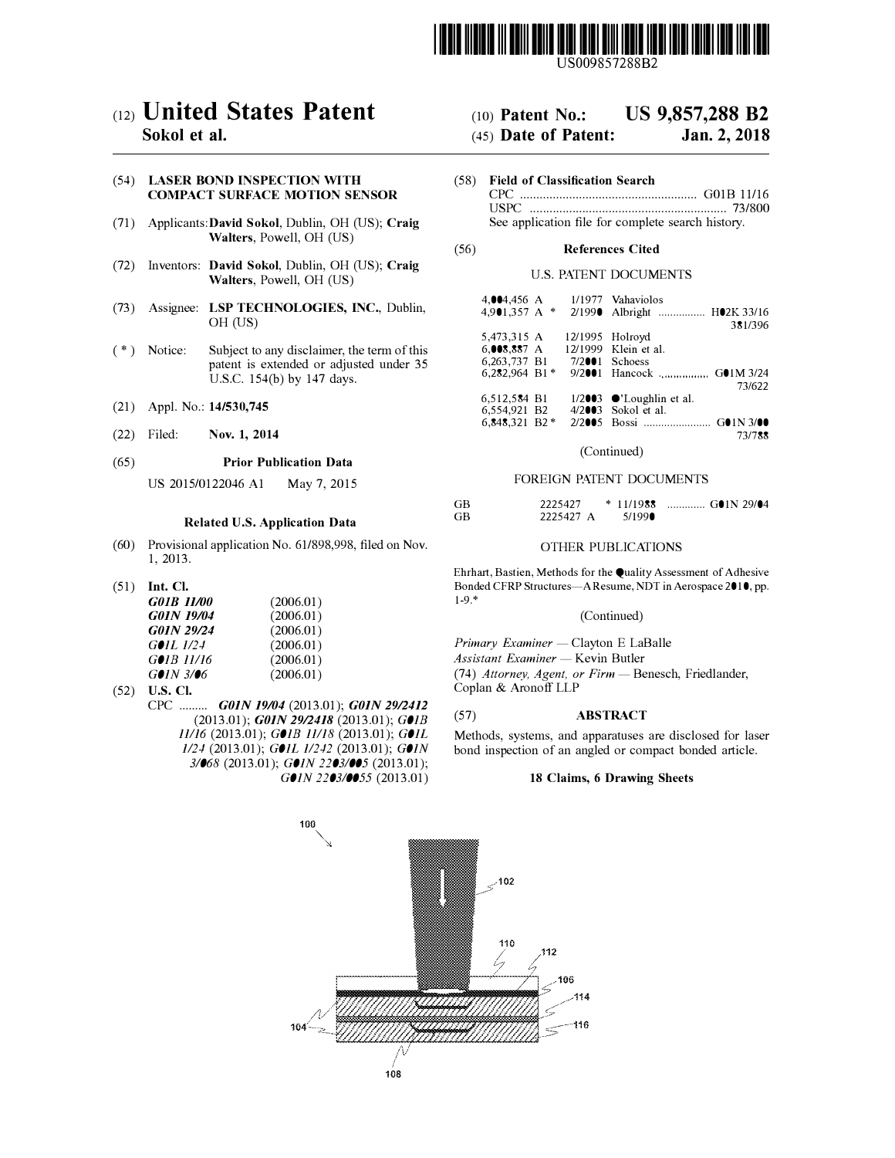

US009857288B2

# c12) **United States Patent**

# **Sokol et al.**

## (54) **LASER BOND INSPECTION WITH COMPACT SURFACE MOTION SENSOR**

- (71) Applicants:David **Sokol,** Dublin, OH (US); **Craig Walters,** Powell, OH (US)
- (72) Inventors: **David Sokol,** Dublin, OH (US); **Craig Walters,** Powell, OH (US)
- (73) Assignee: **LSP TECHNOLOGIES, INC.,** Dublin, OH (US)
- (\*) Notice: Subject to any disclaimer, the term of this patent is extended or adjusted under 35 U.S.C. 154(b) by 147 days.
- (21) Appl. No.: **14/530,745**
- (22) Filed: **Nov. 1, 2014**

#### (65) **Prior Publication Data**

US 2015/0122046 Al May 7, 2015

### **Related U.S. Application Data**

- (60) Provisional application No. 61/898,998, filed on Nov. 1, 2013.
- (51) **Int. Cl.**

| G01B 11/00          | (2006.01) |
|---------------------|-----------|
| <b>G01N 19/04</b>   | (2006.01) |
| <b>G01N 29/24</b>   | (2006.01) |
| GOIL 1/24           | (2006.01) |
| $G\bullet IB$ 11/16 | (2006.01) |
| $G$ 01N 3/06        | (2006.01) |

- (52) **U.S. Cl.** 
	- CPC ......... *GOIN 19104* (2013.01); *GOIN 2912412*  (2013.01); *GOIN 2912418* (2013.01); *GOJB 11/16* (2013.01); *GOJB 11/18* (2013.01); *GOJL 1/24* (2013.01); *GOJL 1/242* (2013.01); *GOIN 3/068* (2013.01); *GOIN 2203/005* (2013.01); *GOIN 2203/0055* (2013.01)

#### (IO) **Patent No.: US 9,857,288 B2**

#### (45) **Date of Patent: Jan.2,2018**

(58) **Field of Classification Search** CPC ...................................................... G0lB 11/16 USPC .. .. ... ... ... ... ... .. ... ... ... ... .. ... ... ... ... ... .. ... ... .. 73/800 See application file for complete search history.

### (56) **References Cited**

# U.S. PATENT DOCUMENTS

|                | 1/1977 Vahaviolos                         |
|----------------|-------------------------------------------|
|                | 4,901,357 A * 2/1990 Albright  H02K 33/16 |
|                | 381/396                                   |
|                | 12/1995 Holroyd                           |
| 6.008.887 A    | 12/1999 Klein et al.                      |
| 7/2001 Schoess |                                           |
|                | 9/2001 Hancock  GO1M 3/24                 |
|                | 73/622                                    |
|                | $1/2003$ $\bullet$ 'Loughlin et al.       |
|                | $4/2003$ Sokol et al.                     |
|                |                                           |
|                | 73/788                                    |
|                |                                           |

#### (Continued)

#### FOREIGN PATENT DOCUMENTS

| GB | 2225427   | $*11/1988$ | $\ldots$ GOIN 29/04 |
|----|-----------|------------|---------------------|
| GB | 2225427 A | 5/199      |                     |

#### OTHER PUBLICATIONS

Ehrhart, Bastien, Methods for the Quality Assessment of Adhesive Bonded CFRP Structures-A Resume, NDT in Aerospace 2010, pp. 1-9.\*

### (Continued)

*Primary Examiner* - Clayton E LaBalle *Assistant Examiner* - Kevin Butler (74) Attorney, Agent, or Firm - Benesch, Friedlander,

Coplan & Aronoff LLP

# (57) **ABSTRACT**

Methods, systems, and apparatuses are disclosed for laser bond inspection of an angled or compact bonded article.

### **18 Claims, 6 Drawing Sheets**

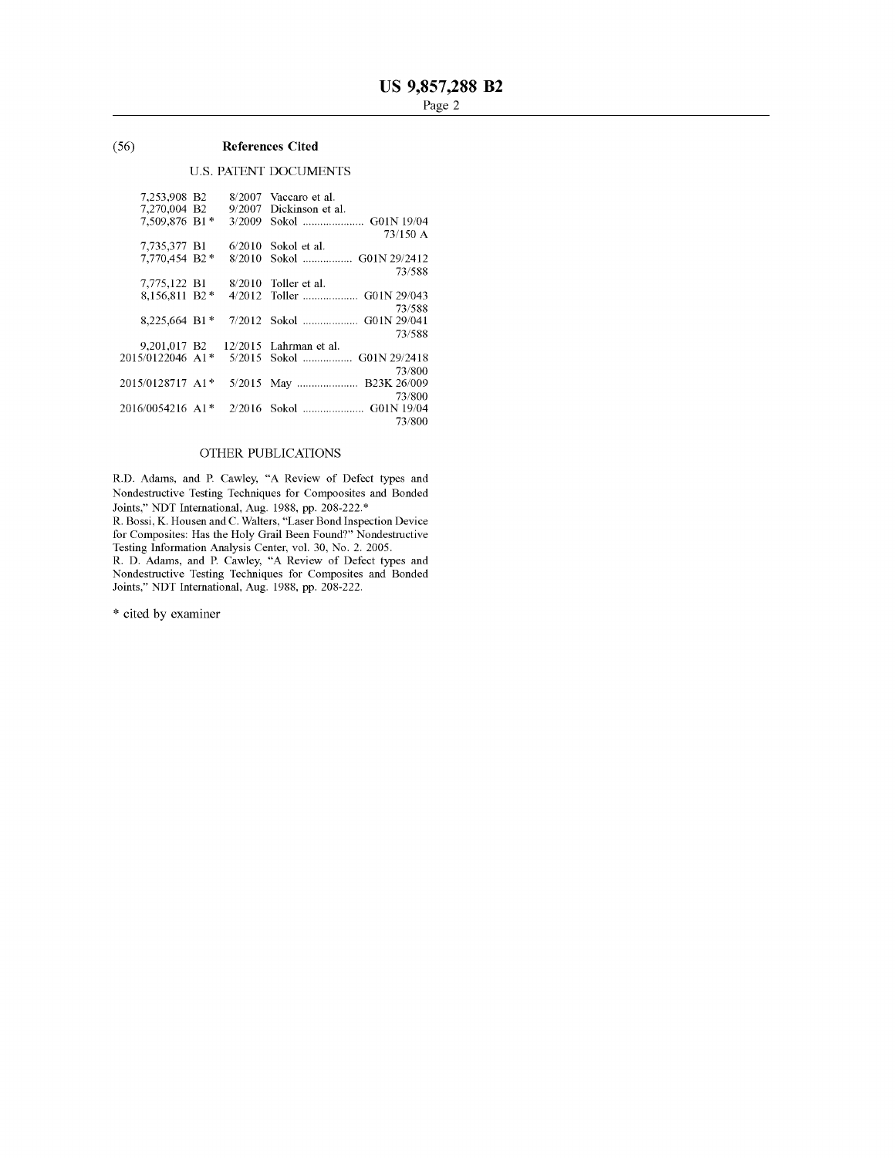#### $(56)$ **References Cited**

# **U.S. PATENT DOCUMENTS**

| 7.253,908 B2             | 8/2007  | Vaccaro et al.        |
|--------------------------|---------|-----------------------|
| 7.270.004 B2             | 9/2007  | Dickinson et al.      |
| 7.509.876 B1*            | 3/2009  |                       |
|                          |         | 73/150 A              |
| 7,735,377 B1             | 6/2010  | Sokol et al.          |
| 7,770,454 B2 *           | 8/2010  |                       |
|                          |         | 73/588                |
| 7,775,122 B1             | 8/2010  | Toller et al.         |
| 8.156.811 B2*            |         |                       |
|                          |         | 73/588                |
| 8.225.664 B1 $*$         | 7/2012  | G01N 29/041<br>Sokol  |
|                          |         | 73/588                |
| 9.201.017 B <sub>2</sub> | 12/2015 | Lahrman et al.        |
| 2015/0122046 A1*         | 5/2015  | G01N 29/2418<br>Sokol |
|                          |         | 73/800                |
| 2015/0128717 A1*         | 5/2015  | May  B23K 26/009      |
|                          |         | 73/800                |
| 2016/0054216 A1*         | 2/2016  |                       |
|                          |         | 73/800                |
|                          |         |                       |

# OTHER PUBLICATIONS

R.D. Adams, and P. Cawley, "A Review of Defect types and Nondestructive Testing Techniques for Compoosites and Bonded Joints," NDT International, Aug. 1988, pp. 208-222.\*<br>R. Bossi, K. Housen and C. Walters, "Laser Bond Inspection Device

for Composites: Has the Holy Grail Been Found?" Nondestructive<br>Testing Information Analysis Center, vol. 30, No. 2, 2005.

R. D. Adams, and P. Cawley, "A Review of Defect types and<br>Nondestructive Testing Techniques for Composites and Bonded<br>Joints," NDT International, Aug. 1988, pp. 208-222.

\* cited by examiner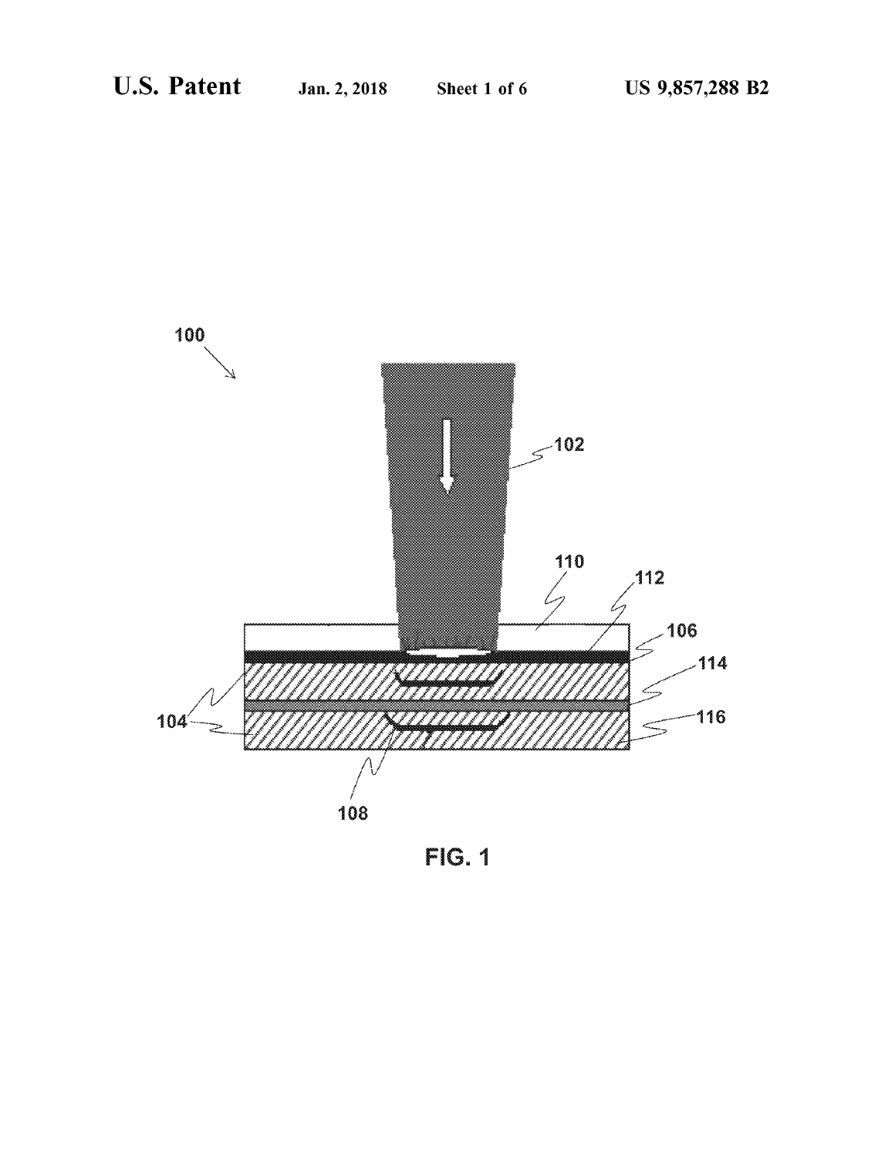

FIG. 1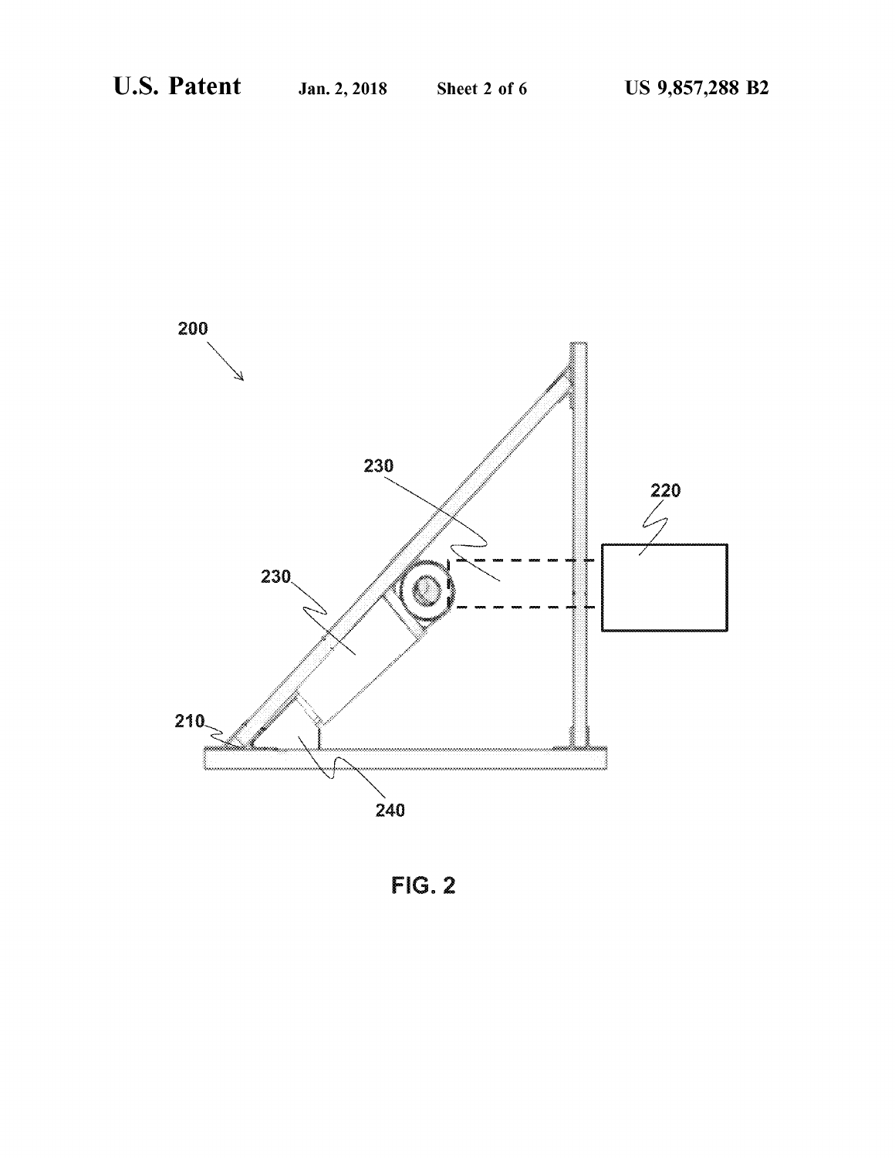

**FIG. 2**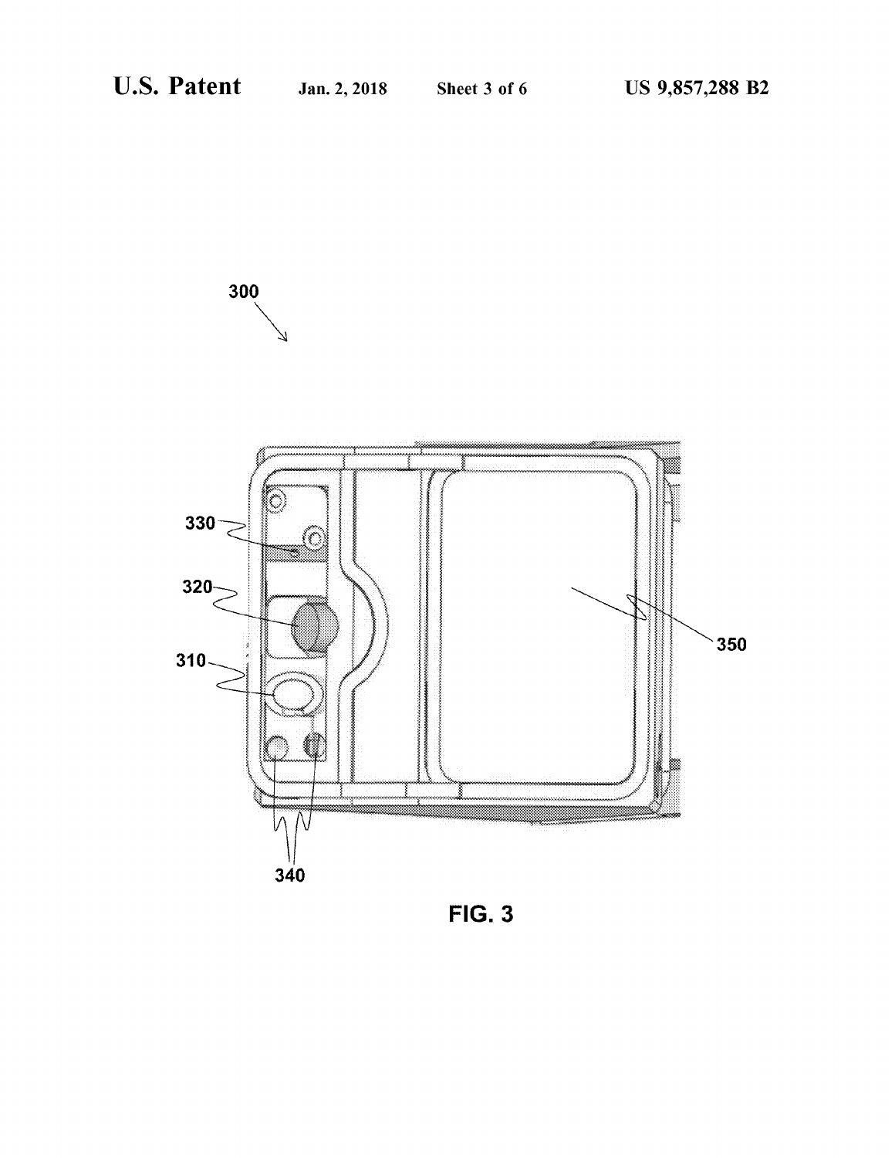300



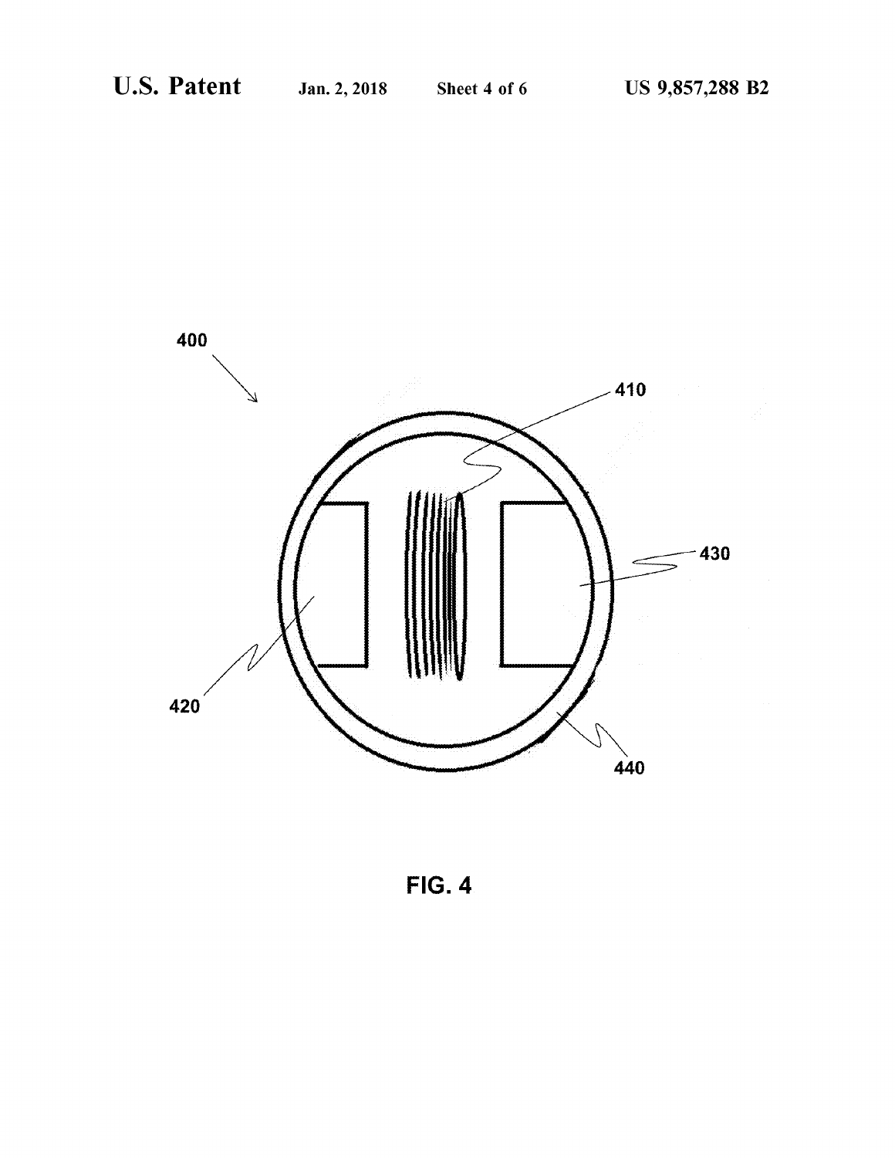

**FIG. 4**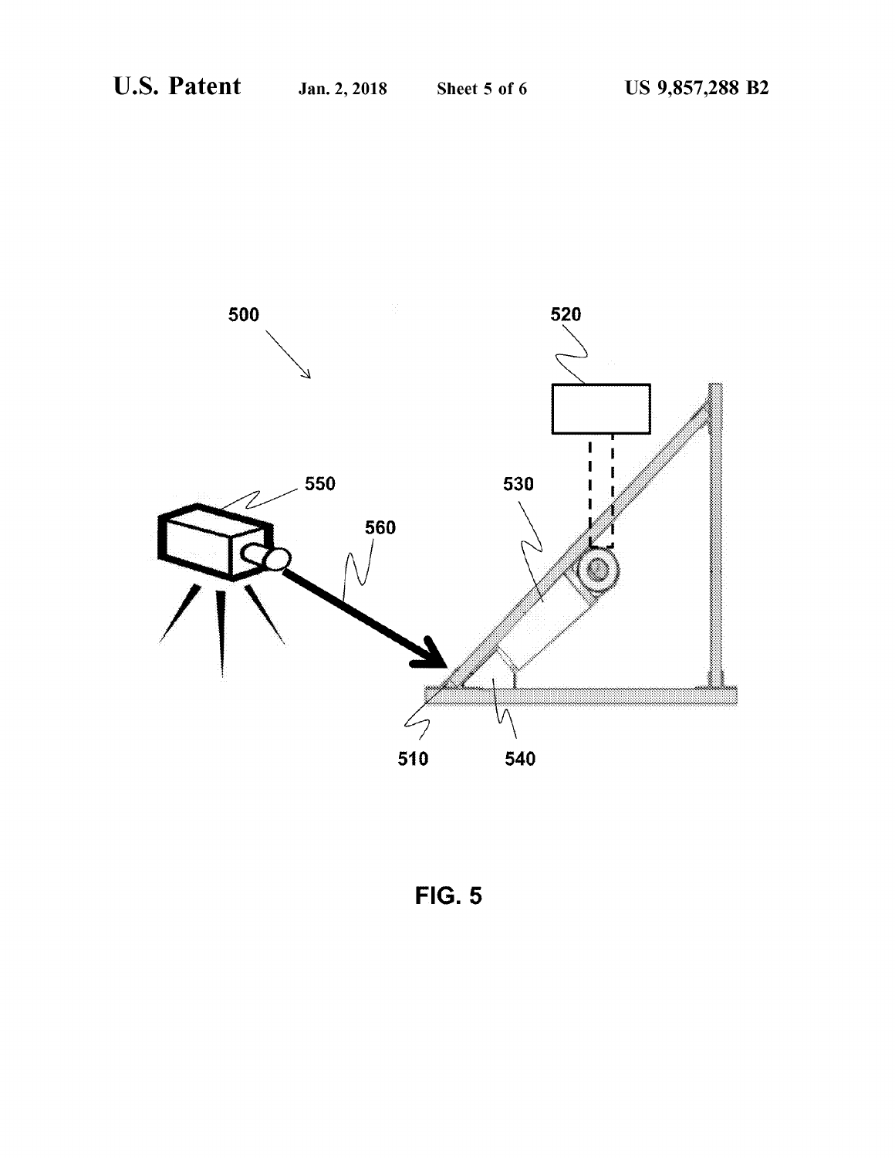

**FIG. 5**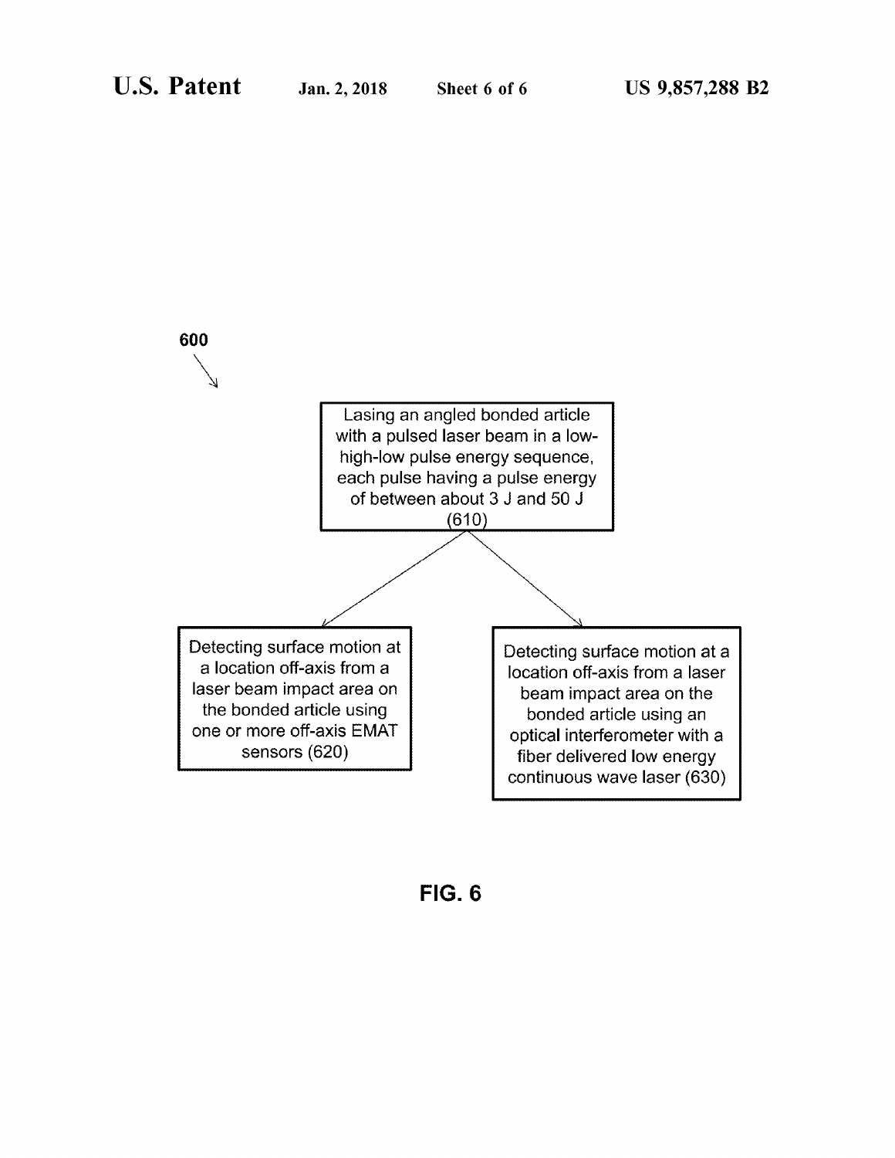

**FIG. 6**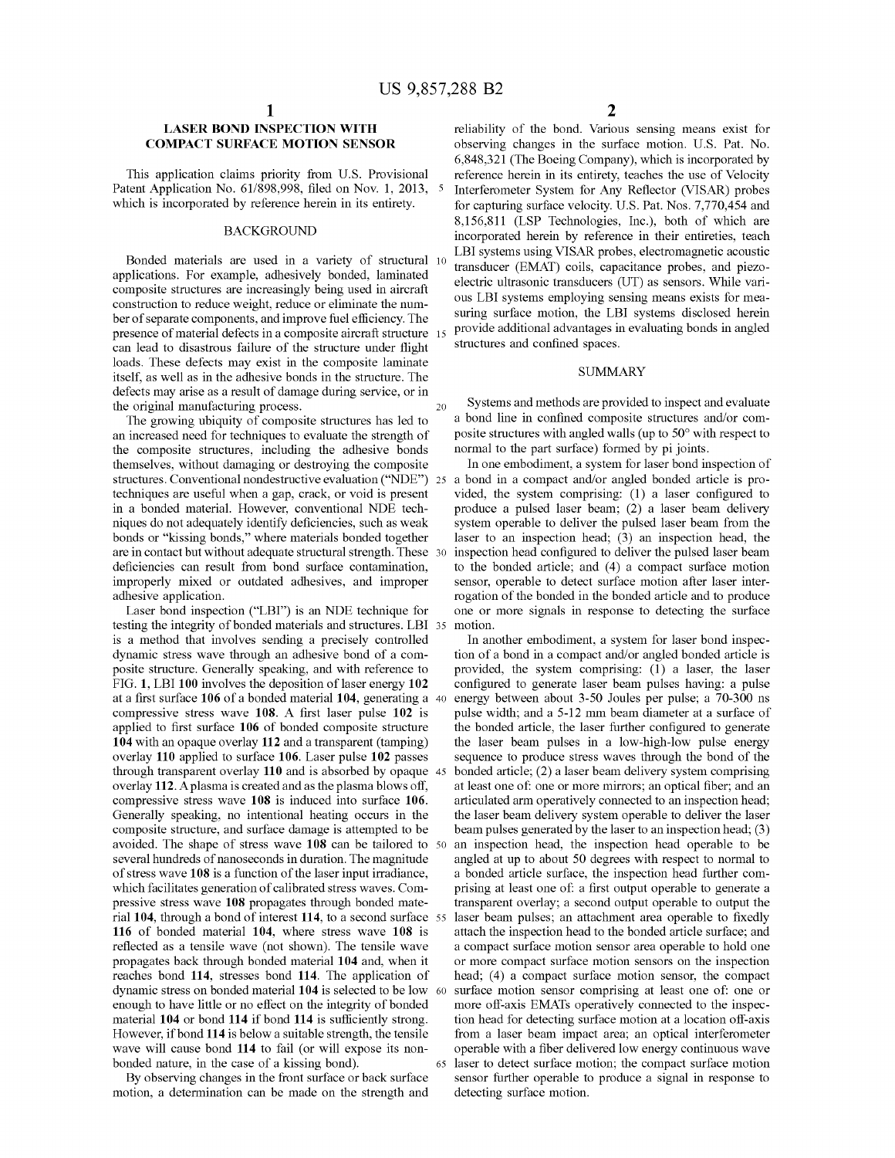# **LASER BOND INSPECTION WITH COMPACT SURFACE MOTION SENSOR**

This application claims priority from U.S. Provisional Patent Application No. 61/898,998, filed on Nov. 1, 2013, 5 which is incorporated by reference herein in its entirety.

#### **BACKGROUND**

Bonded materials are used in a variety of structural 10 applications. For example, adhesively bonded, laminated composite structures are increasingly being used in aircraft construction to reduce weight, reduce or eliminate the number of separate components, and improve fuel efficiency. The presence of material defects in a composite aircraft structure 15 can lead to disastrous failure of the structure under flight loads. These defects may exist in the composite laminate itself, as well as in the adhesive bonds in the structure. The defects may arise as a result of damage during service, or in the original manufacturing process. 20

The growing ubiquity of composite structures has led to an increased need for techniques to evaluate the strength of the composite structures, including the adhesive bonds themselves, without damaging or destroying the composite structures. Conventional nondestructive evaluation ("NDE") techniques are useful when a gap, crack, or void is present in a bonded material. However, conventional NDE techniques do not adequately identify deficiencies, such as weak bonds or "kissing bonds," where materials bonded together are in contact but without adequate structural strength. These 30 deficiencies can result from bond surface contamination, improperly mixed or outdated adhesives, and improper adhesive application.

Laser bond inspection ("LBI") is an NDE technique for testing the integrity of bonded materials and structures. LBI 35 motion. is a method that involves sending a precisely controlled dynamic stress wave through an adhesive bond of a composite structure. Generally speaking, and with reference to FIG. 1, LBI 100 involves the deposition of laser energy 102 at a first surface 106 of a bonded material 104, generating a 40 compressive stress wave 108. A first laser pulse 102 is applied to first surface 106 of bonded composite structure 104 with an opaque overlay 112 and a transparent (tamping) overlay 110 applied to surface 106. Laser pulse 102 passes through transparent overlay 110 and is absorbed by opaque 45 overlay 112. A plasma is created and as the plasma blows off, compressive stress wave 108 is induced into surface 106. Generally speaking, no intentional heating occurs in the composite structure, and surface damage is attempted to be avoided. The shape of stress wave 108 can be tailored to 50 several hundreds of nanoseconds in duration. The magnitude of stress wave 108 is a function of the laser input irradiance, which facilitates generation of calibrated stress waves. Compressive stress wave 108 propagates through bonded material 104, through a bond of interest 114, to a second surface 55 116 of bonded material 104, where stress wave 108 is reflected as a tensile wave (not shown). The tensile wave propagates back through bonded material 104 and, when it reaches bond 114, stresses bond 114. The application of dynamic stress on bonded material 104 is selected to be low 60 enough to have little or no effect on the integrity of bonded material 104 or bond 114 if bond 114 is sufficiently strong. However, if bond 114 is below a suitable strength, the tensile wave will cause bond 114 to fail (or will expose its nonbonded nature, in the case of a kissing bond). 65

By observing changes in the front surface or back surface motion, a determination can be made on the strength and reliability of the bond. Various sensing means exist for observing changes in the surface motion. U.S. Pat. No. 6,848,321 (The Boeing Company), which is incorporated by reference herein in its entirety, teaches the use of Velocity Interferometer System for Any Reflector (VISAR) probes for capturing surface velocity. U.S. Pat. Nos. 7,770,454 and 8,156,811 (LSP Technologies, Inc.), both of which are incorporated herein by reference in their entireties, teach LBI systems using VISAR probes, electromagnetic acoustic transducer (EMAT) coils, capacitance probes, and piezoelectric ultrasonic transducers (UT) as sensors. While various LBI systems employing sensing means exists for measuring surface motion, the LBI systems disclosed herein provide additional advantages in evaluating bonds in angled structures and confined spaces.

### **SUMMARY**

Systems and methods are provided to inspect and evaluate a bond line in confined composite structures and/or composite structures with angled walls (up to 50° with respect to normal to the part surface) formed by pi joints.

In one embodiment, a system for laser bond inspection of 25 a bond in a compact and/or angled bonded article is provided, the system comprising: (1) a laser configured to produce a pulsed laser beam; (2) a laser beam delivery system operable to deliver the pulsed laser beam from the laser to an inspection head;  $(3)$  an inspection head, the inspection head configured to deliver the pulsed laser beam to the bonded article; and (4) a compact surface motion sensor, operable to detect surface motion after laser interrogation of the bonded in the bonded article and to produce one or more signals in response to detecting the surface

In another embodiment, a system for laser bond inspection of a bond in a compact and/or angled bonded article is provided, the system comprising: (1) a laser, the laser configured to generate laser beam pulses having: a pulse energy between about 3-50 Joules per pulse; a 70-300 ns pulse width; and a 5-12 mm beam diameter at a surface of the bonded article, the laser further configured to generate the laser beam pulses in a low-high-low pulse energy sequence to produce stress waves through the bond of the bonded article; (2) a laser beam delivery system comprising at least one of: one or more mirrors; an optical fiber; and an articulated arm operatively connected to an inspection head; the laser beam delivery system operable to deliver the laser beam pulses generated by the laser to an inspection head; (3) an inspection head, the inspection head operable to be angled at up to about 50 degrees with respect to normal to a bonded article surface, the inspection head further comprising at least one of: a first output operable to generate a transparent overlay; a second output operable to output the laser beam pulses; an attachment area operable to fixedly attach the inspection head to the bonded article surface; and a compact surface motion sensor area operable to hold one or more compact surface motion sensors on the inspection head; (4) a compact surface motion sensor, the compact surface motion sensor comprising at least one of: one or more off-axis EMATs operatively connected to the inspection head for detecting surface motion at a location off-axis from a laser beam impact area; an optical interferometer operable with a fiber delivered low energy continuous wave laser to detect surface motion; the compact surface motion sensor further operable to produce a signal in response to detecting surface motion.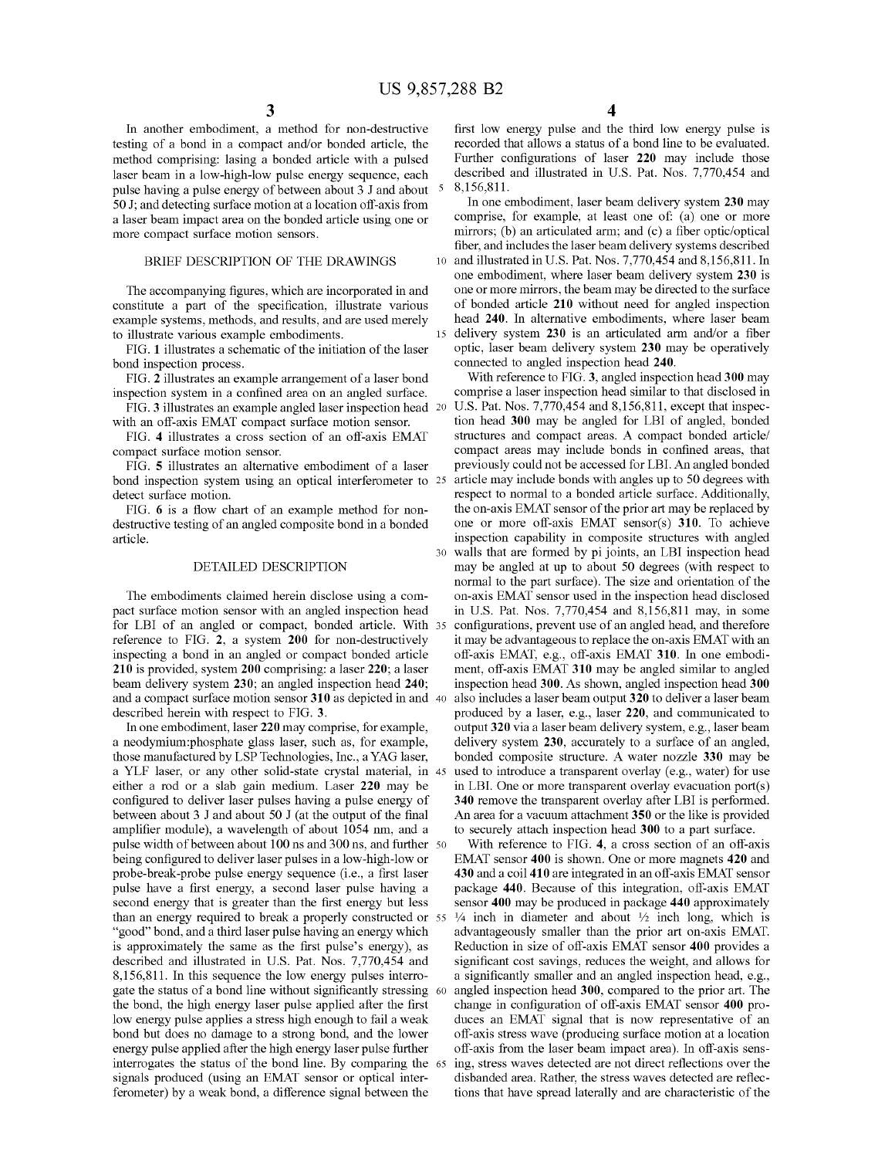$30<sup>°</sup>$ 

In another embodiment, a method for non-destructive testing of a bond in a compact and/or bonded article, the method comprising: lasing a bonded article with a pulsed laser beam in a low-high-low pulse energy sequence, each pulse having a pulse energy of between about 3 J and about 5 50 J; and detecting surface motion at a location off-axis from a laser beam impact area on the bonded article using one or more compact surface motion sensors.

#### BRIEF DESCRIPTION OF THE DRAWINGS

The accompanying figures, which are incorporated in and constitute a part of the specification, illustrate various example systems, methods, and results, and are used merely to illustrate various example embodiments.

FIG. 1 illustrates a schematic of the initiation of the laser bond inspection process.

FIG. 2 illustrates an example arrangement of a laser bond inspection system in a confined area on an angled surface.

FIG. 3 illustrates an example angled laser inspection head 20 with an off-axis EMAT compact surface motion sensor.

FIG. 4 illustrates a cross section of an off-axis EMAT compact surface motion sensor.

FIG. 5 illustrates an alternative embodiment of a laser bond inspection system using an optical interferometer to 25 detect surface motion.

FIG. 6 is a flow chart of an example method for nondestructive testing of an angled composite bond in a bonded article.

#### DETAILED DESCRIPTION

The embodiments claimed herein disclose using a compact surface motion sensor with an angled inspection head for LBI of an angled or compact, bonded article. With 35 reference to FIG. 2, a system 200 for non-destructively inspecting a bond in an angled or compact bonded article 210 is provided, system 200 comprising: a laser 220; a laser beam delivery system 230; an angled inspection head 240; and a compact surface motion sensor 310 as depicted in and 40 described herein with respect to FIG. 3.

In one embodiment, laser 220 may comprise, for example, a neodymium:phosphate glass laser, such as, for example, those manufactured by LSP Technologies, Inc., a YAG laser, a YLF laser, or any other solid-state crystal material, in 45 either a rod or a slab gain medium. Laser 220 may be configured to deliver laser pulses having a pulse energy of between about 3 J and about 50 J (at the output of the final amplifier module), a wavelength of about 1054 nm, and a pulse width of between about 100 ns and 300 ns, and further 50 being configured to deliver laser pulses in a low-high-low or probe-break-probe pulse energy sequence (i.e., a first laser pulse have a first energy, a second laser pulse having a second energy that is greater than the first energy but less than an energy required to break a properly constructed or 55 "good" bond, and a third laser pulse having an energy which is approximately the same as the first pulse's energy), as described and illustrated in U.S. Pat. Nos. 7,770,454 and 8,156,811. In this sequence the low energy pulses interrogate the status of a bond line without significantly stressing 60 the bond, the high energy laser pulse applied after the first low energy pulse applies a stress high enough to fail a weak bond but does no damage to a strong bond, and the lower energy pulse applied after the high energy laser pulse further interrogates the status of the bond line. By comparing the 65 signals produced (using an EMAT sensor or optical interferometer) by a weak bond, a difference signal between the

4

first low energy pulse and the third low energy pulse is recorded that allows a status of a bond line to be evaluated. Further configurations of laser 220 may include those described and illustrated in U.S. Pat. Nos. 7,770,454 and 8,156,811.

In one embodiment, laser beam delivery system 230 may comprise, for example, at least one of: (a) one or more mirrors; (b) an articulated arm; and (c) a fiber optic/optical fiber, and includes the laser beam delivery systems described 10 and illustrated in U.S. Pat. Nos. 7,770,454 and 8,156,811. In one embodiment, where laser beam delivery system 230 is one or more mirrors, the beam may be directed to the surface of bonded article 210 without need for angled inspection head 240. In alternative embodiments, where laser beam delivery system 230 is an articulated arm and/or a fiber optic, laser beam delivery system 230 may be operatively connected to angled inspection head 240.

With reference to FIG. 3, angled inspection head 300 may comprise a laser inspection head similar to that disclosed in U.S. Pat. Nos. 7,770,454 and 8,156,811, except that inspection head 300 may be angled for LBI of angled, bonded structures and compact areas. A compact bonded article/ compact areas may include bonds in confined areas, that previously could not be accessed for LBI. An angled bonded article may include bonds with angles up to 50 degrees with respect to normal to a bonded article surface. Additionally, the on-axis EMAT sensor of the prior art may be replaced by one or more off-axis EMAT sensor(s) 310. To achieve inspection capability in composite structures with angled walls that are formed by pi joints, an LBI inspection head may be angled at up to about 50 degrees (with respect to normal to the part surface). The size and orientation of the on-axis EMAT sensor used in the inspection head disclosed in U.S. Pat. Nos. 7,770,454 and 8,156,811 may, in some configurations, prevent use of an angled head, and therefore it may be advantageous to replace the on-axis EMAT with an off-axis EMAT, e.g., off-axis EMAT 310. In one embodiment, off-axis EMAT 310 may be angled similar to angled inspection head 300. As shown, angled inspection head 300 also includes a laser beam output 320 to deliver a laser beam produced by a laser, e.g., laser 220, and communicated to output 320 via a laser beam delivery system, e.g., laser beam delivery system 230, accurately to a surface of an angled, bonded composite structure. A water nozzle 330 may be used to introduce a transparent overlay (e.g., water) for use in LBI. One or more transparent overlay evacuation port $(s)$ 340 remove the transparent overlay after LBI is performed. An area for a vacuum attachment 350 or the like is provided to securely attach inspection head 300 to a part surface.

With reference to FIG. 4, a cross section of an off-axis EMAT sensor 400 is shown. One or more magnets 420 and 430 and a coil 410 are integrated in an off-axis EMAT sensor package 440. Because of this integration, off-axis EMAT sensor 400 may be produced in package 440 approximately  $\frac{1}{4}$  inch in diameter and about  $\frac{1}{2}$  inch long, which is advantageously smaller than the prior art on-axis EMAT. Reduction in size of off-axis EMAT sensor 400 provides a significant cost savings, reduces the weight, and allows for a significantly smaller and an angled inspection head, e.g., angled inspection head 300, compared to the prior art. The change in configuration of off-axis EMAT sensor 400 produces an EMAT signal that is now representative of an off-axis stress wave (producing surface motion at a location off-axis from the laser beam impact area). In off-axis sensing, stress waves detected are not direct reflections over the disbanded area. Rather, the stress waves detected are reflections that have spread laterally and are characteristic of the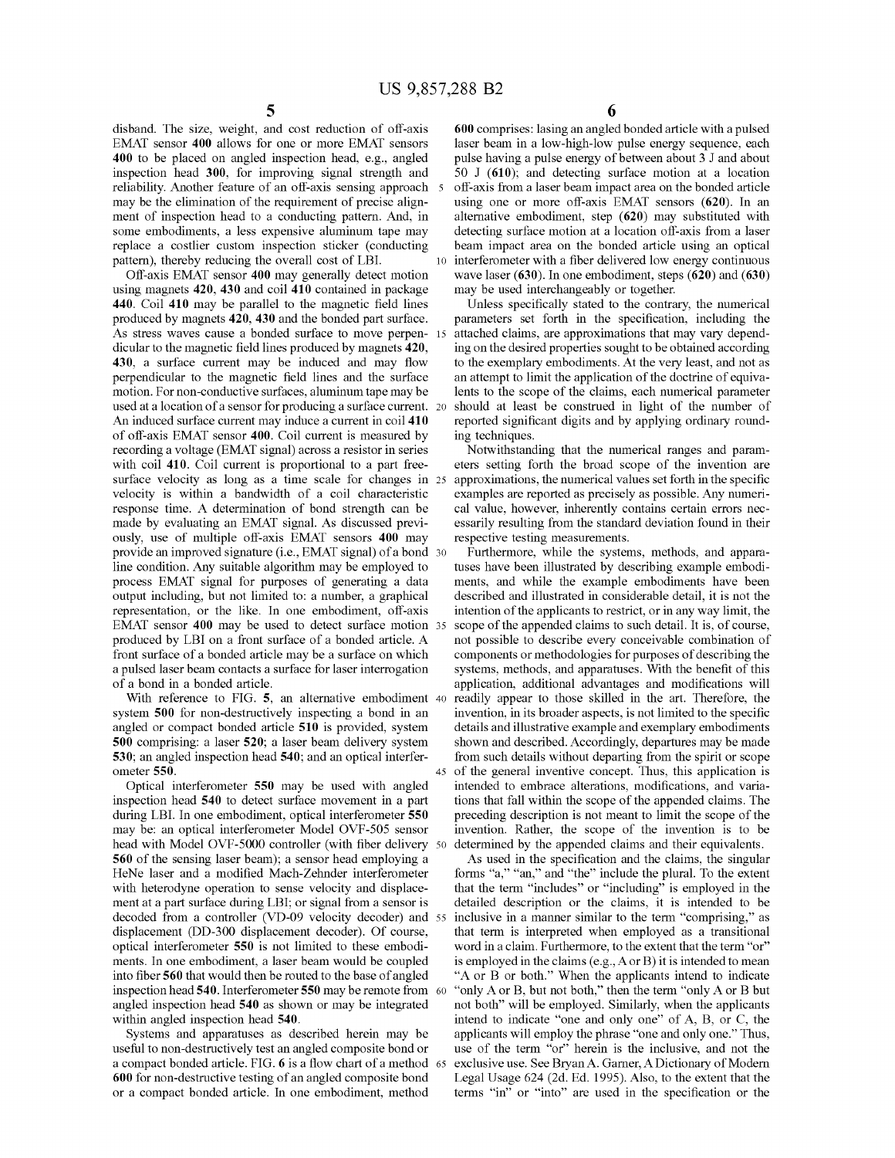$10$ 

disband. The size, weight, and cost reduction of off-axis EMAT sensor 400 allows for one or more EMAT sensors 400 to be placed on angled inspection head, e.g., angled inspection head 300, for improving signal strength and reliability. Another feature of an off-axis sensing approach 5 may be the elimination of the requirement of precise alignment of inspection head to a conducting pattern. And, in some embodiments, a less expensive aluminum tape may replace a costlier custom inspection sticker (conducting pattern), thereby reducing the overall cost of LBI.

Off-axis EMAT sensor 400 may generally detect motion using magnets 420, 430 and coil 410 contained in package 440. Coil 410 may be parallel to the magnetic field lines produced by magnets 420, 430 and the bonded part surface. As stress waves cause a bonded surface to move perpen-15 dicular to the magnetic field lines produced by magnets 420, 430, a surface current may be induced and may flow perpendicular to the magnetic field lines and the surface motion. For non-conductive surfaces, aluminum tape may be used at a location of a sensor for producing a surface current. 20 An induced surface current may induce a current in coil 410 of off-axis EMAT sensor 400. Coil current is measured by recording a voltage (EMAT signal) across a resistor in series with coil 410. Coil current is proportional to a part freesurface velocity as long as a time scale for changes in 25 velocity is within a bandwidth of a coil characteristic response time. A determination of bond strength can be made by evaluating an EMAT signal. As discussed previously, use of multiple off-axis EMAT sensors 400 may provide an improved signature (i.e., EMAT signal) of a bond 30 line condition. Any suitable algorithm may be employed to process EMAT signal for purposes of generating a data output including, but not limited to: a number, a graphical representation, or the like. In one embodiment, off-axis EMAT sensor 400 may be used to detect surface motion 35 produced by LBI on a front surface of a bonded article. A front surface of a bonded article may be a surface on which a pulsed laser beam contacts a surface for laser interrogation of a bond in a bonded article.

With reference to FIG. 5, an alternative embodiment 40 system 500 for non-destructively inspecting a bond in an angled or compact bonded article 510 is provided, system 500 comprising: a laser 520; a laser beam delivery system 530; an angled inspection head 540; and an optical interferometer 550.

Optical interferometer 550 may be used with angled inspection head 540 to detect surface movement in a part during LBI. In one embodiment, optical interferometer 550 may be: an optical interferometer Model OVF-505 sensor head with Model OVF-5000 controller (with fiber delivery 50 560 of the sensing laser beam); a sensor head employing a HeNe laser and a modified Mach-Zehnder interferometer with heterodyne operation to sense velocity and displacement at a part surface during LBI; or signal from a sensor is decoded from a controller (VD-09 velocity decoder) and 55 displacement (DD-300 displacement decoder). Of course, optical interferometer 550 is not limited to these embodiments. In one embodiment, a laser beam would be coupled into fiber 560 that would then be routed to the base of angled inspection head 540. Interferometer 550 may be remote from 60 angled inspection head 540 as shown or may be integrated within angled inspection head 540.

Systems and apparatuses as described herein may be useful to non-destructively test an angled composite bond or a compact bonded article. FIG. 6 is a flow chart of a method 65 600 for non-destructive testing of an angled composite bond or a compact bonded article. In one embodiment, method

600 comprises: lasing an angled bonded article with a pulsed laser beam in a low-high-low pulse energy sequence, each pulse having a pulse energy of between about 3 J and about 50 J  $(610)$ ; and detecting surface motion at a location off-axis from a laser beam impact area on the bonded article using one or more off-axis EMAT sensors (620). In an alternative embodiment, step (620) may substituted with detecting surface motion at a location off-axis from a laser beam impact area on the bonded article using an optical interferometer with a fiber delivered low energy continuous wave laser  $(630)$ . In one embodiment, steps  $(620)$  and  $(630)$ may be used interchangeably or together.

Unless specifically stated to the contrary, the numerical parameters set forth in the specification, including the attached claims, are approximations that may vary depending on the desired properties sought to be obtained according to the exemplary embodiments. At the very least, and not as an attempt to limit the application of the doctrine of equivalents to the scope of the claims, each numerical parameter should at least be construed in light of the number of reported significant digits and by applying ordinary rounding techniques.

Notwithstanding that the numerical ranges and parameters setting forth the broad scope of the invention are approximations, the numerical values set forth in the specific examples are reported as precisely as possible. Any numerical value, however, inherently contains certain errors necessarily resulting from the standard deviation found in their respective testing measurements.

Furthermore, while the systems, methods, and apparatuses have been illustrated by describing example embodiments, and while the example embodiments have been described and illustrated in considerable detail, it is not the intention of the applicants to restrict, or in any way limit, the scope of the appended claims to such detail. It is, of course, not possible to describe every conceivable combination of components or methodologies for purposes of describing the systems, methods, and apparatuses. With the benefit of this application, additional advantages and modifications will readily appear to those skilled in the art. Therefore, the invention, in its broader aspects, is not limited to the specific details and illustrative example and exemplary embodiments shown and described. Accordingly, departures may be made from such details without departing from the spirit or scope of the general inventive concept. Thus, this application is intended to embrace alterations, modifications, and variations that fall within the scope of the appended claims. The preceding description is not meant to limit the scope of the invention. Rather, the scope of the invention is to be determined by the appended claims and their equivalents.

As used in the specification and the claims, the singular forms "a," "an," and "the" include the plural. To the extent that the term "includes" or "including" is employed in the detailed description or the claims, it is intended to be inclusive in a manner similar to the term "comprising," as that term is interpreted when employed as a transitional word in a claim. Furthermore, to the extent that the term "or" is employed in the claims  $(e.g., A or B)$  it is intended to mean "A or B or both." When the applicants intend to indicate "only A or B, but not both," then the term "only A or B but not both" will be employed. Similarly, when the applicants intend to indicate "one and only one" of A, B, or C, the applicants will employ the phrase "one and only one." Thus, use of the term "or" herein is the inclusive, and not the exclusive use. See Bryan A. Garner, A Dictionary of Modern Legal Usage 624 (2d. Ed. 1995). Also, to the extent that the terms "in" or "into" are used in the specification or the